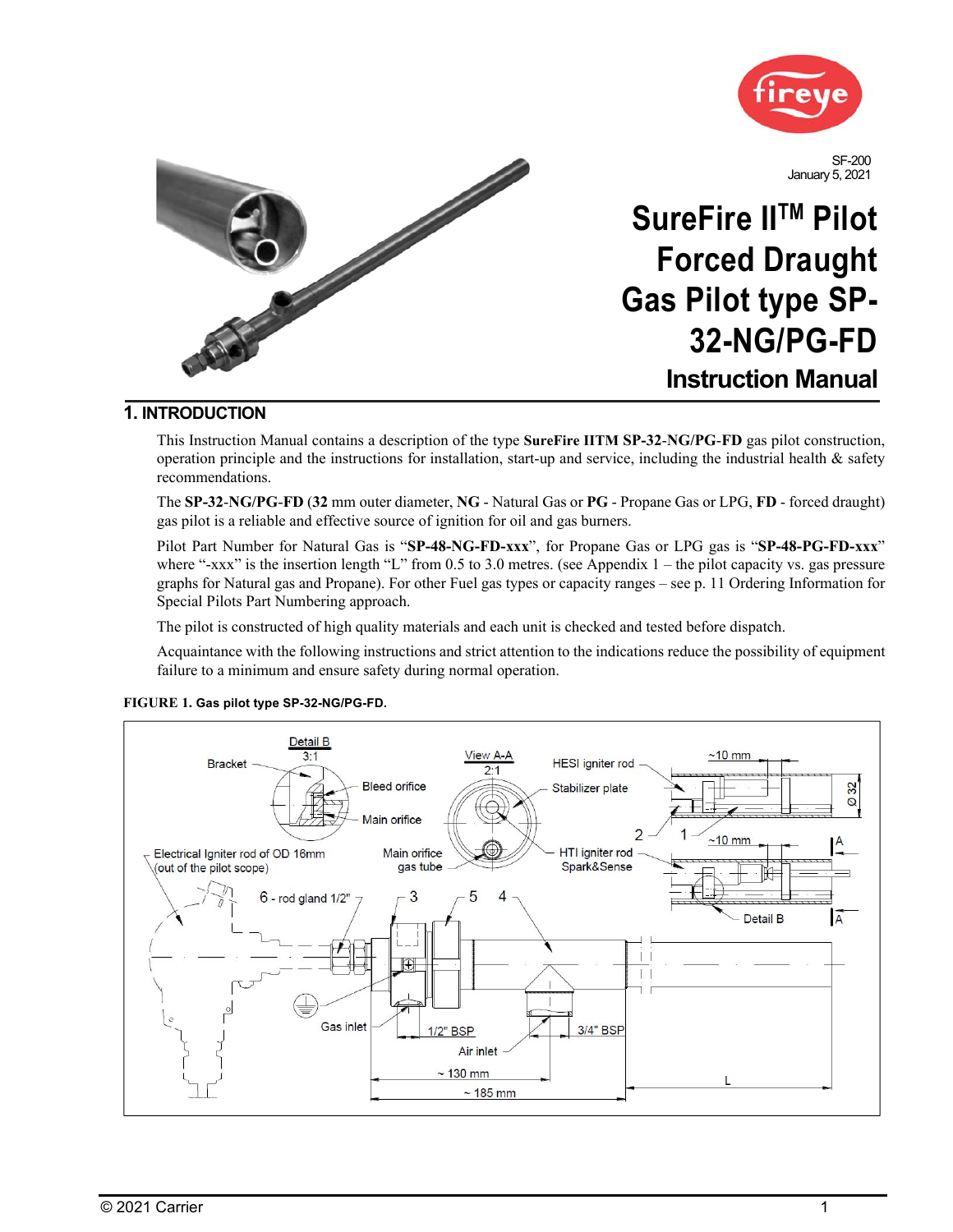



## **1. INTRODUCTION**

This Instruction Manual contains a description of the type **SureFire IITM SP-32**-**NG/PG**-**FD** gas pilot construction, operation principle and the instructions for installation, start-up and service, including the industrial health & safety recommendations.

The **SP-32**-**NG/PG**-**FD** (**32** mm outer diameter, **NG** - Natural Gas or **PG** - Propane Gas or LPG, **FD** - forced draught) gas pilot is a reliable and effective source of ignition for oil and gas burners.

Pilot Part Number for Natural Gas is "**SP-48-NG-FD-xxx**", for Propane Gas or LPG gas is "**SP-48-PG-FD-xxx**" where "-xxx" is the insertion length "L" from 0.5 to 3.0 metres. (see Appendix  $1$  – the pilot capacity vs. gas pressure graphs for Natural gas and Propane). For other Fuel gas types or capacity ranges – see p. 11 Ordering Information for Special Pilots Part Numbering approach.

The pilot is constructed of high quality materials and each unit is checked and tested before dispatch.

Acquaintance with the following instructions and strict attention to the indications reduce the possibility of equipment failure to a minimum and ensure safety during normal operation.



#### **FIGURE 1. Gas pilot type SP-32-NG/PG-FD.**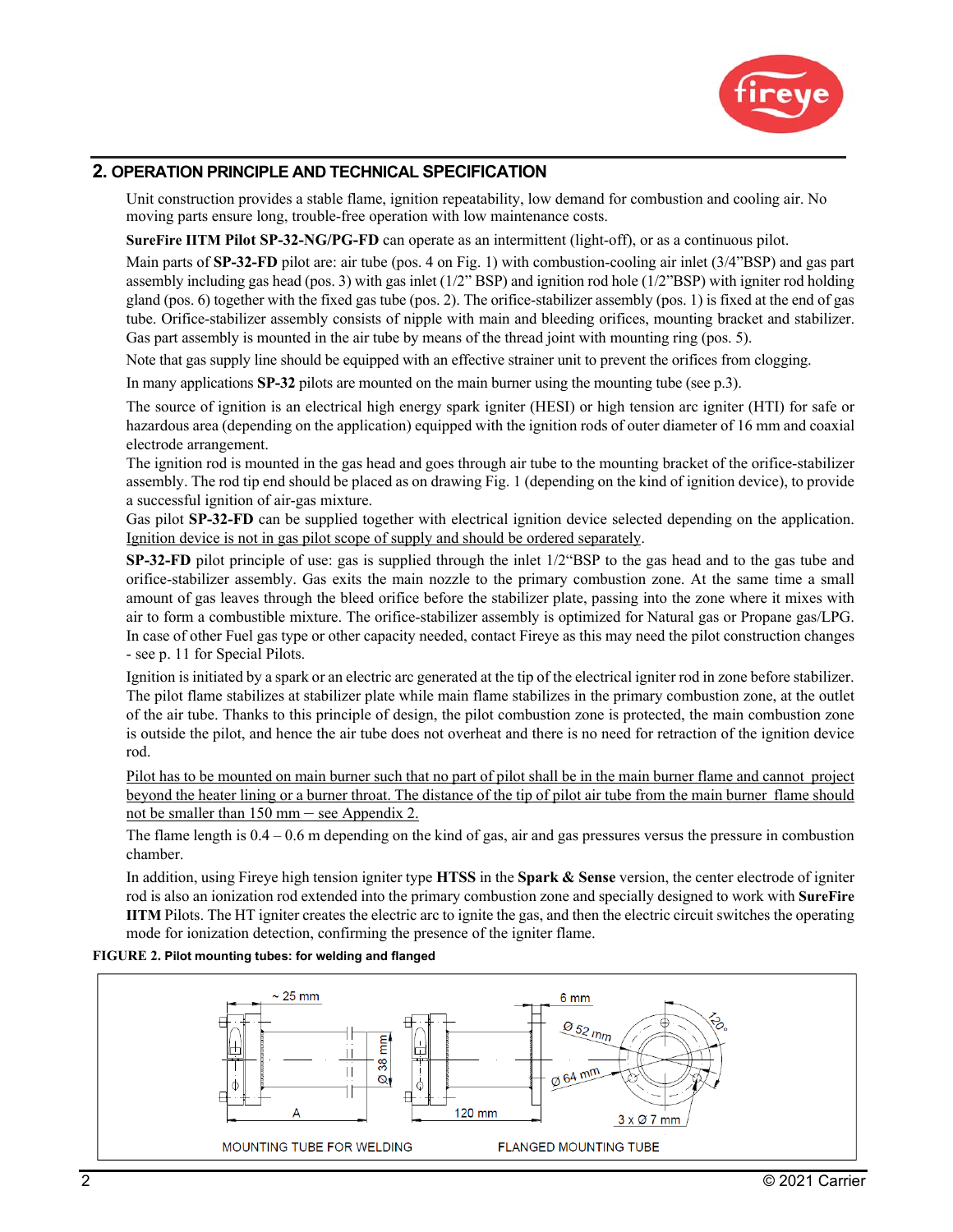

## **2. OPERATION PRINCIPLE AND TECHNICAL SPECIFICATION**

Unit construction provides a stable flame, ignition repeatability, low demand for combustion and cooling air. No moving parts ensure long, trouble-free operation with low maintenance costs.

**SureFire IITM Pilot SP-32-NG/PG-FD** can operate as an intermittent (light-off), or as a continuous pilot.

Main parts of **SP-32-FD** pilot are: air tube (pos. 4 on Fig. 1) with combustion-cooling air inlet (3/4"BSP) and gas part assembly including gas head (pos. 3) with gas inlet (1/2" BSP) and ignition rod hole (1/2"BSP) with igniter rod holding gland (pos. 6) together with the fixed gas tube (pos. 2). The orifice-stabilizer assembly (pos. 1) is fixed at the end of gas tube. Orifice-stabilizer assembly consists of nipple with main and bleeding orifices, mounting bracket and stabilizer. Gas part assembly is mounted in the air tube by means of the thread joint with mounting ring (pos. 5).

Note that gas supply line should be equipped with an effective strainer unit to prevent the orifices from clogging.

In many applications **SP-32** pilots are mounted on the main burner using the mounting tube (see p.3).

The source of ignition is an electrical high energy spark igniter (HESI) or high tension arc igniter (HTI) for safe or hazardous area (depending on the application) equipped with the ignition rods of outer diameter of 16 mm and coaxial electrode arrangement.

The ignition rod is mounted in the gas head and goes through air tube to the mounting bracket of the orifice-stabilizer assembly. The rod tip end should be placed as on drawing Fig. 1 (depending on the kind of ignition device), to provide a successful ignition of air-gas mixture.

Gas pilot **SP-32-FD** can be supplied together with electrical ignition device selected depending on the application. Ignition device is not in gas pilot scope of supply and should be ordered separately.

**SP-32-FD** pilot principle of use: gas is supplied through the inlet 1/2"BSP to the gas head and to the gas tube and orifice-stabilizer assembly. Gas exits the main nozzle to the primary combustion zone. At the same time a small amount of gas leaves through the bleed orifice before the stabilizer plate, passing into the zone where it mixes with air to form a combustible mixture. The orifice-stabilizer assembly is optimized for Natural gas or Propane gas/LPG. In case of other Fuel gas type or other capacity needed, contact Fireye as this may need the pilot construction changes - see p. 11 for Special Pilots.

Ignition is initiated by a spark or an electric arc generated at the tip of the electrical igniter rod in zone before stabilizer. The pilot flame stabilizes at stabilizer plate while main flame stabilizes in the primary combustion zone, at the outlet of the air tube. Thanks to this principle of design, the pilot combustion zone is protected, the main combustion zone is outside the pilot, and hence the air tube does not overheat and there is no need for retraction of the ignition device rod.

Pilot has to be mounted on main burner such that no part of pilot shall be in the main burner flame and cannot project beyond the heater lining or a burner throat. The distance of the tip of pilot air tube from the main burner flame should not be smaller than 150 mm – see Appendix 2.

The flame length is  $0.4 - 0.6$  m depending on the kind of gas, air and gas pressures versus the pressure in combustion chamber.

In addition, using Fireye high tension igniter type **HTSS** in the **Spark & Sense** version, the center electrode of igniter rod is also an ionization rod extended into the primary combustion zone and specially designed to work with **SureFire IITM** Pilots. The HT igniter creates the electric arc to ignite the gas, and then the electric circuit switches the operating mode for ionization detection, confirming the presence of the igniter flame.

#### **FIGURE 2. Pilot mounting tubes: for welding and flanged**

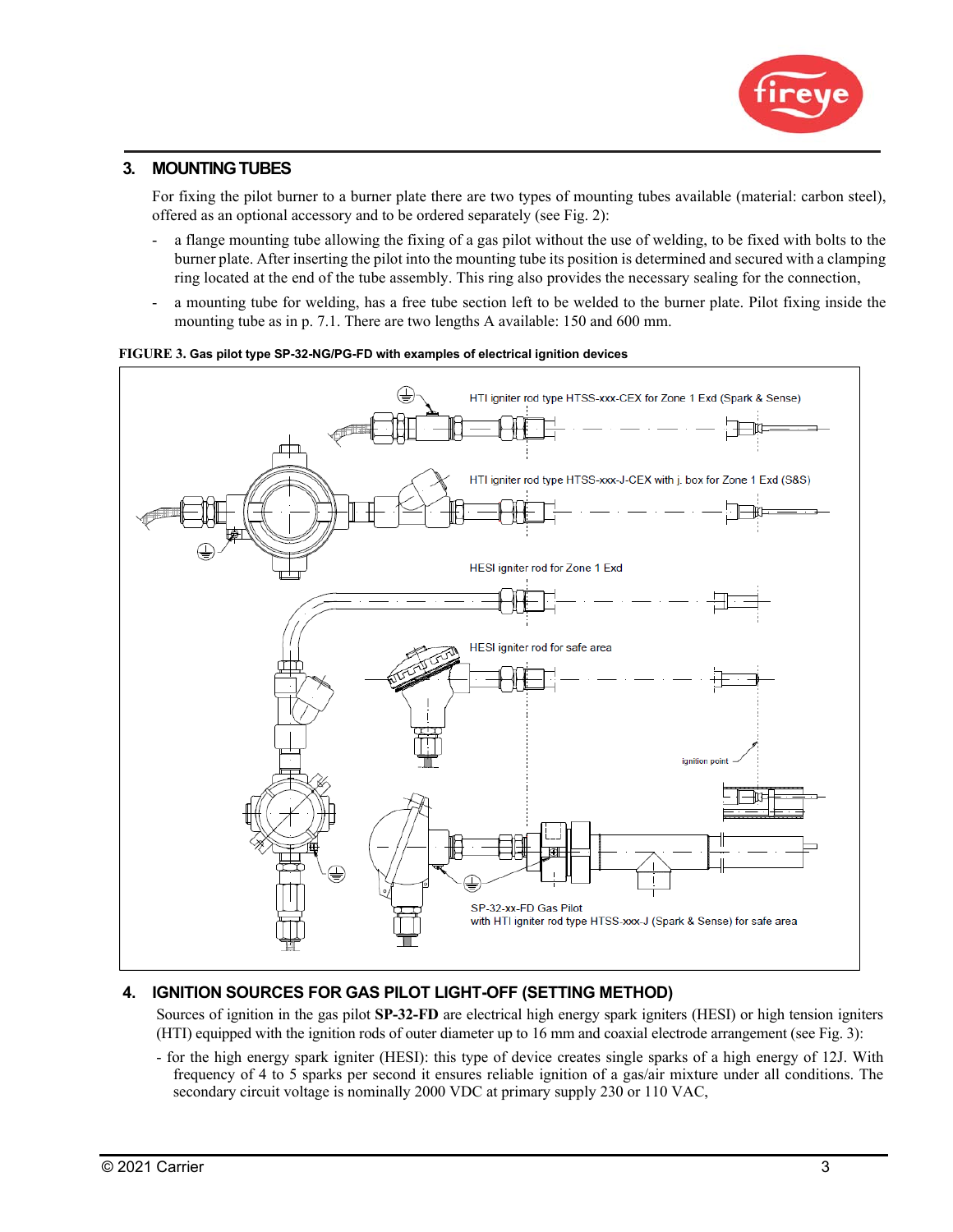

## **3. MOUNTING TUBES**

For fixing the pilot burner to a burner plate there are two types of mounting tubes available (material: carbon steel), offered as an optional accessory and to be ordered separately (see Fig. 2):

- a flange mounting tube allowing the fixing of a gas pilot without the use of welding, to be fixed with bolts to the burner plate. After inserting the pilot into the mounting tube its position is determined and secured with a clamping ring located at the end of the tube assembly. This ring also provides the necessary sealing for the connection,
- a mounting tube for welding, has a free tube section left to be welded to the burner plate. Pilot fixing inside the mounting tube as in p. 7.1. There are two lengths A available: 150 and 600 mm.



#### **FIGURE 3. Gas pilot type SP-32-NG/PG-FD with examples of electrical ignition devices**

## **4. IGNITION SOURCES FOR GAS PILOT LIGHT-OFF (SETTING METHOD)**

Sources of ignition in the gas pilot **SP-32-FD** are electrical high energy spark igniters (HESI) or high tension igniters (HTI) equipped with the ignition rods of outer diameter up to 16 mm and coaxial electrode arrangement (see Fig. 3):

- for the high energy spark igniter (HESI): this type of device creates single sparks of a high energy of 12J. With frequency of 4 to 5 sparks per second it ensures reliable ignition of a gas/air mixture under all conditions. The secondary circuit voltage is nominally 2000 VDC at primary supply 230 or 110 VAC,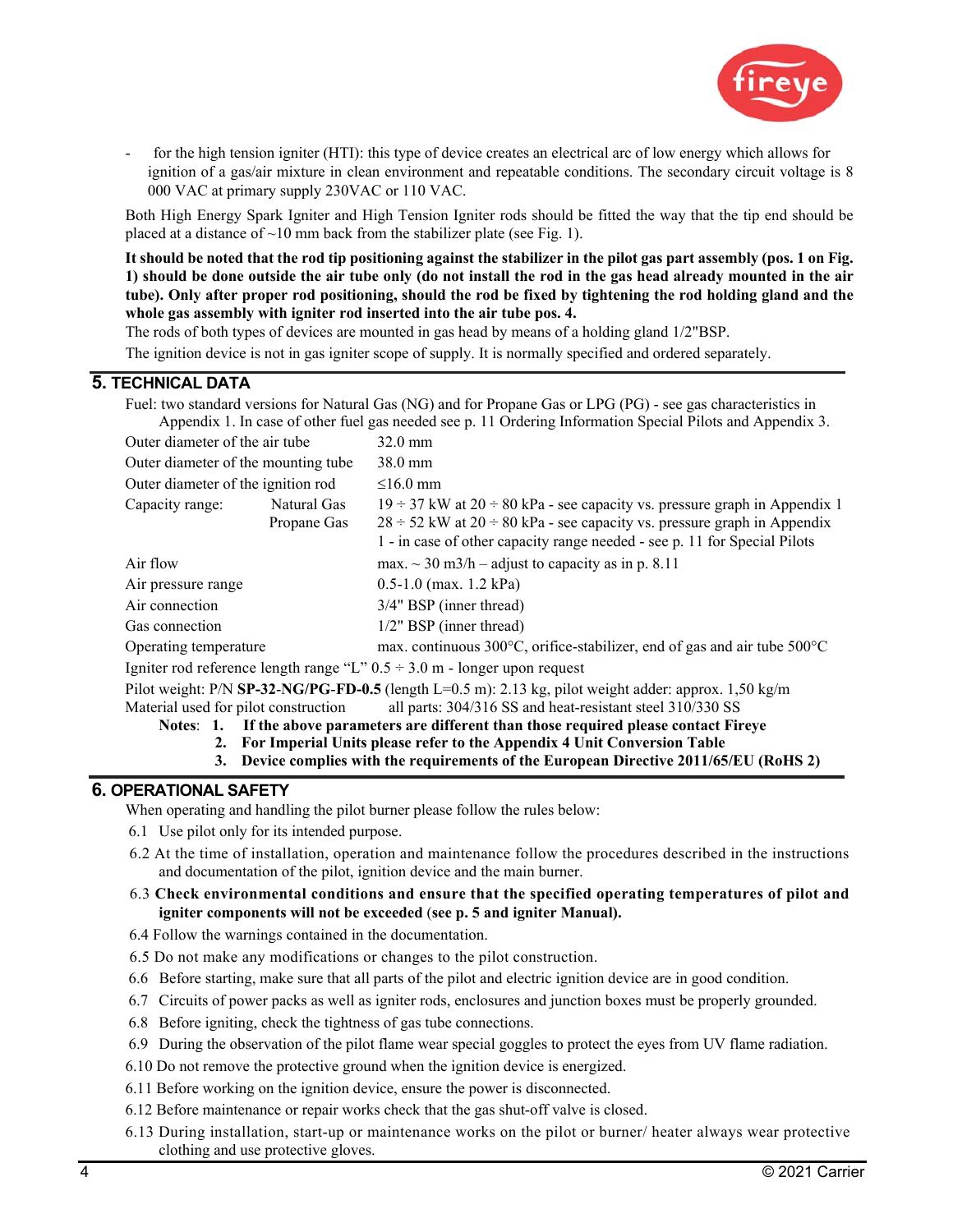

for the high tension igniter (HTI): this type of device creates an electrical arc of low energy which allows for ignition of a gas/air mixture in clean environment and repeatable conditions. The secondary circuit voltage is 8 000 VAC at primary supply 230VAC or 110 VAC.

Both High Energy Spark Igniter and High Tension Igniter rods should be fitted the way that the tip end should be placed at a distance of  $\sim 10$  mm back from the stabilizer plate (see Fig. 1).

**It should be noted that the rod tip positioning against the stabilizer in the pilot gas part assembly (pos. 1 on Fig. 1) should be done outside the air tube only (do not install the rod in the gas head already mounted in the air tube). Only after proper rod positioning, should the rod be fixed by tightening the rod holding gland and the whole gas assembly with igniter rod inserted into the air tube pos. 4.** 

The rods of both types of devices are mounted in gas head by means of a holding gland 1/2"BSP.

The ignition device is not in gas igniter scope of supply. It is normally specified and ordered separately.

## **5. TECHNICAL DATA**

| Fuel: two standard versions for Natural Gas (NG) and for Propane Gas or LPG (PG) - see gas characteristics in<br>Appendix 1. In case of other fuel gas needed see p. 11 Ordering Information Special Pilots and Appendix 3. |             |                                                                                              |  |  |  |
|-----------------------------------------------------------------------------------------------------------------------------------------------------------------------------------------------------------------------------|-------------|----------------------------------------------------------------------------------------------|--|--|--|
|                                                                                                                                                                                                                             |             |                                                                                              |  |  |  |
| Outer diameter of the air tube                                                                                                                                                                                              |             | $32.0 \text{ mm}$                                                                            |  |  |  |
| Outer diameter of the mounting tube                                                                                                                                                                                         |             | $38.0 \text{ mm}$                                                                            |  |  |  |
| Outer diameter of the ignition rod                                                                                                                                                                                          |             | $\leq 16.0$ mm                                                                               |  |  |  |
| Capacity range:<br>Natural Gas                                                                                                                                                                                              |             | $19 \div 37$ kW at $20 \div 80$ kPa - see capacity vs. pressure graph in Appendix 1          |  |  |  |
|                                                                                                                                                                                                                             | Propane Gas | $28 \div 52$ kW at $20 \div 80$ kPa - see capacity vs. pressure graph in Appendix            |  |  |  |
|                                                                                                                                                                                                                             |             | 1 - in case of other capacity range needed - see p. 11 for Special Pilots                    |  |  |  |
| Air flow                                                                                                                                                                                                                    |             | max. $\sim$ 30 m3/h – adjust to capacity as in p. 8.11                                       |  |  |  |
| Air pressure range                                                                                                                                                                                                          |             | $0.5-1.0$ (max. 1.2 kPa)                                                                     |  |  |  |
| Air connection                                                                                                                                                                                                              |             | $3/4$ " BSP (inner thread)                                                                   |  |  |  |
| Gas connection                                                                                                                                                                                                              |             | $1/2$ " BSP (inner thread)                                                                   |  |  |  |
| Operating temperature                                                                                                                                                                                                       |             | max. continuous $300^{\circ}$ C, orifice-stabilizer, end of gas and air tube $500^{\circ}$ C |  |  |  |
| Igniter rod reference length range "L" $0.5 \div 3.0$ m - longer upon request                                                                                                                                               |             |                                                                                              |  |  |  |
| Pilot weight: P/N SP-32-NG/PG-FD-0.5 (length L=0.5 m): 2.13 kg, pilot weight adder: approx. 1,50 kg/m                                                                                                                       |             |                                                                                              |  |  |  |
| all parts: 304/316 SS and heat-resistant steel 310/330 SS<br>Material used for pilot construction                                                                                                                           |             |                                                                                              |  |  |  |
| Notes: 1. If the above parameters are different than those required please contact Fireye                                                                                                                                   |             |                                                                                              |  |  |  |
|                                                                                                                                                                                                                             |             |                                                                                              |  |  |  |

- **2. For Imperial Units please refer to the Appendix 4 Unit Conversion Table**
- **3. Device complies with the requirements of the European Directive 2011/65/EU (RoHS 2)**

## **6. OPERATIONAL SAFETY**

When operating and handling the pilot burner please follow the rules below:

- 6.1 Use pilot only for its intended purpose.
- 6.2 At the time of installation, operation and maintenance follow the procedures described in the instructions and documentation of the pilot, ignition device and the main burner.
- 6.3 **Check environmental conditions and ensure that the specified operating temperatures of pilot and igniter components will not be exceeded** (**see p. 5 and igniter Manual).**
- 6.4 Follow the warnings contained in the documentation.
- 6.5 Do not make any modifications or changes to the pilot construction.
- 6.6 Before starting, make sure that all parts of the pilot and electric ignition device are in good condition.
- 6.7 Circuits of power packs as well as igniter rods, enclosures and junction boxes must be properly grounded.
- 6.8 Before igniting, check the tightness of gas tube connections.
- 6.9 During the observation of the pilot flame wear special goggles to protect the eyes from UV flame radiation.
- 6.10 Do not remove the protective ground when the ignition device is energized.
- 6.11 Before working on the ignition device, ensure the power is disconnected.
- 6.12 Before maintenance or repair works check that the gas shut-off valve is closed.
- 6.13 During installation, start-up or maintenance works on the pilot or burner/ heater always wear protective clothing and use protective gloves.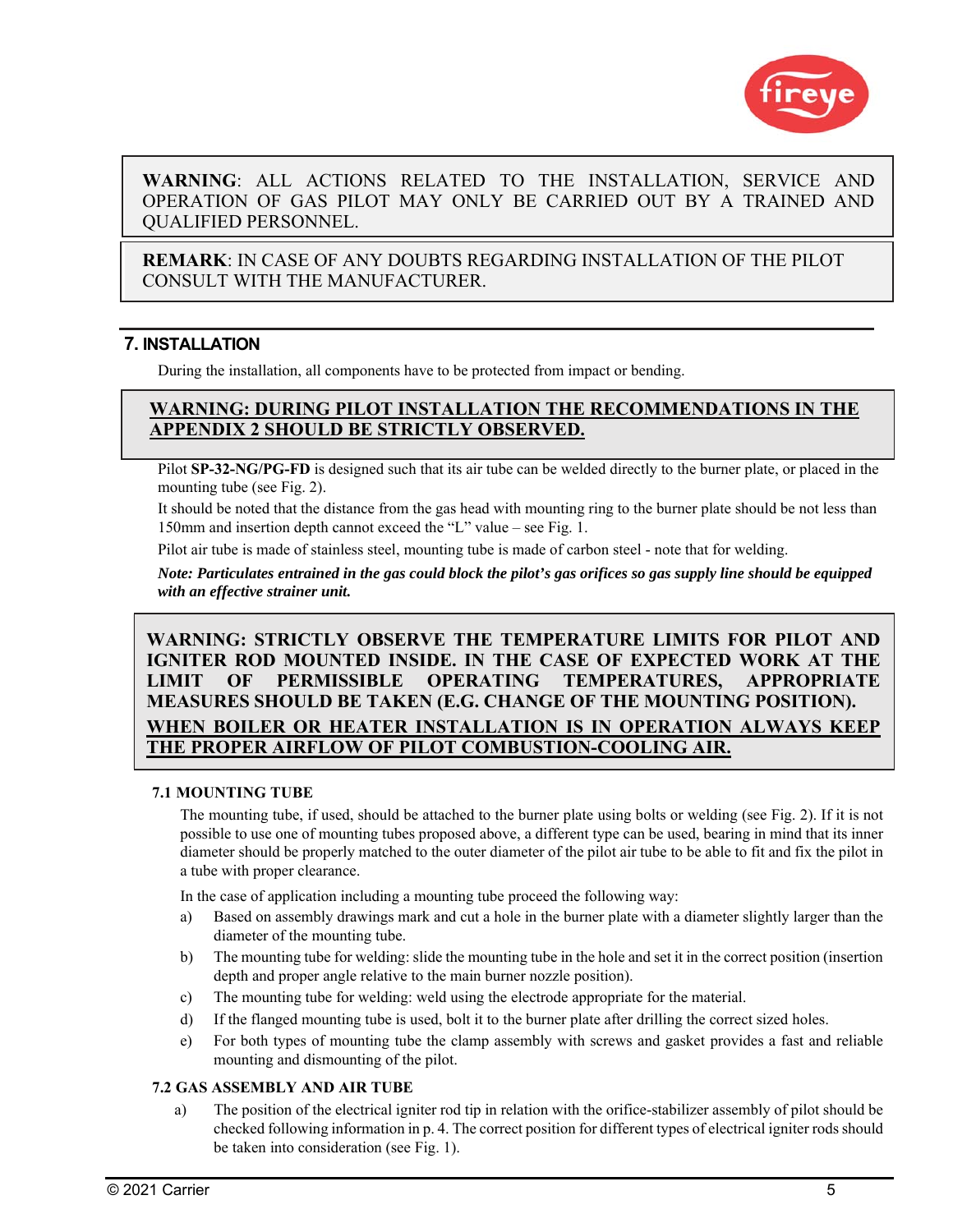

## **WARNING**: ALL ACTIONS RELATED TO THE INSTALLATION, SERVICE AND OPERATION OF GAS PILOT MAY ONLY BE CARRIED OUT BY A TRAINED AND QUALIFIED PERSONNEL.

**REMARK**: IN CASE OF ANY DOUBTS REGARDING INSTALLATION OF THE PILOT CONSULT WITH THE MANUFACTURER.

## **7. INSTALLATION**

During the installation, all components have to be protected from impact or bending.

## **WARNING: DURING PILOT INSTALLATION THE RECOMMENDATIONS IN THE APPENDIX 2 SHOULD BE STRICTLY OBSERVED.**

Pilot **SP-32-NG/PG-FD** is designed such that its air tube can be welded directly to the burner plate, or placed in the mounting tube (see Fig. 2).

It should be noted that the distance from the gas head with mounting ring to the burner plate should be not less than 150mm and insertion depth cannot exceed the "L" value – see Fig. 1.

Pilot air tube is made of stainless steel, mounting tube is made of carbon steel - note that for welding.

*Note: Particulates entrained in the gas could block the pilot's gas orifices so gas supply line should be equipped with an effective strainer unit.* 

## **WARNING: STRICTLY OBSERVE THE TEMPERATURE LIMITS FOR PILOT AND IGNITER ROD MOUNTED INSIDE. IN THE CASE OF EXPECTED WORK AT THE LIMIT OF PERMISSIBLE OPERATING TEMPERATURES, APPROPRIATE MEASURES SHOULD BE TAKEN (E.G. CHANGE OF THE MOUNTING POSITION). WHEN BOILER OR HEATER INSTALLATION IS IN OPERATION ALWAYS KEEP THE PROPER AIRFLOW OF PILOT COMBUSTION-COOLING AIR.**

## **7.1 MOUNTING TUBE**

The mounting tube, if used, should be attached to the burner plate using bolts or welding (see Fig. 2). If it is not possible to use one of mounting tubes proposed above, a different type can be used, bearing in mind that its inner diameter should be properly matched to the outer diameter of the pilot air tube to be able to fit and fix the pilot in a tube with proper clearance.

In the case of application including a mounting tube proceed the following way:

- a) Based on assembly drawings mark and cut a hole in the burner plate with a diameter slightly larger than the diameter of the mounting tube.
- b) The mounting tube for welding: slide the mounting tube in the hole and set it in the correct position (insertion depth and proper angle relative to the main burner nozzle position).
- c) The mounting tube for welding: weld using the electrode appropriate for the material.
- d) If the flanged mounting tube is used, bolt it to the burner plate after drilling the correct sized holes.
- e) For both types of mounting tube the clamp assembly with screws and gasket provides a fast and reliable mounting and dismounting of the pilot.

## **7.2 GAS ASSEMBLY AND AIR TUBE**

a) The position of the electrical igniter rod tip in relation with the orifice-stabilizer assembly of pilot should be checked following information in p. 4. The correct position for different types of electrical igniter rods should be taken into consideration (see Fig. 1).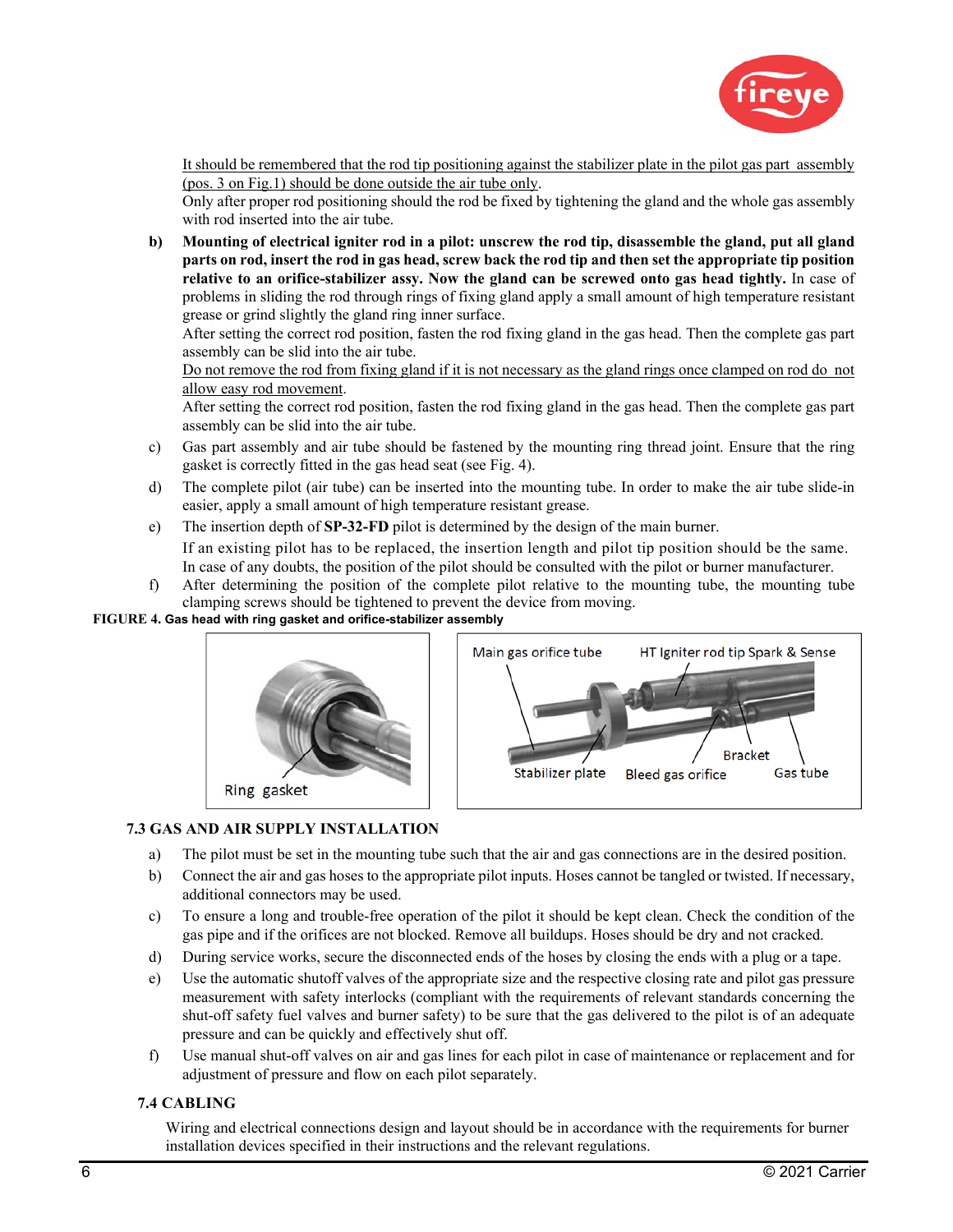

It should be remembered that the rod tip positioning against the stabilizer plate in the pilot gas part assembly (pos. 3 on Fig.1) should be done outside the air tube only.

Only after proper rod positioning should the rod be fixed by tightening the gland and the whole gas assembly with rod inserted into the air tube.

**b) Mounting of electrical igniter rod in a pilot: unscrew the rod tip, disassemble the gland, put all gland parts on rod, insert the rod in gas head, screw back the rod tip and then set the appropriate tip position relative to an orifice-stabilizer assy. Now the gland can be screwed onto gas head tightly.** In case of problems in sliding the rod through rings of fixing gland apply a small amount of high temperature resistant grease or grind slightly the gland ring inner surface.

After setting the correct rod position, fasten the rod fixing gland in the gas head. Then the complete gas part assembly can be slid into the air tube.

Do not remove the rod from fixing gland if it is not necessary as the gland rings once clamped on rod do not allow easy rod movement.

After setting the correct rod position, fasten the rod fixing gland in the gas head. Then the complete gas part assembly can be slid into the air tube.

- c) Gas part assembly and air tube should be fastened by the mounting ring thread joint. Ensure that the ring gasket is correctly fitted in the gas head seat (see Fig. 4).
- d) The complete pilot (air tube) can be inserted into the mounting tube. In order to make the air tube slide-in easier, apply a small amount of high temperature resistant grease.
- e) The insertion depth of **SP-32-FD** pilot is determined by the design of the main burner. If an existing pilot has to be replaced, the insertion length and pilot tip position should be the same. In case of any doubts, the position of the pilot should be consulted with the pilot or burner manufacturer.
- f) After determining the position of the complete pilot relative to the mounting tube, the mounting tube clamping screws should be tightened to prevent the device from moving.

#### **FIGURE 4. Gas head with ring gasket and orifice-stabilizer assembly**



## **7.3 GAS AND AIR SUPPLY INSTALLATION**

- a) The pilot must be set in the mounting tube such that the air and gas connections are in the desired position.
- b) Connect the air and gas hoses to the appropriate pilot inputs. Hoses cannot be tangled or twisted. If necessary, additional connectors may be used.
- c) To ensure a long and trouble-free operation of the pilot it should be kept clean. Check the condition of the gas pipe and if the orifices are not blocked. Remove all buildups. Hoses should be dry and not cracked.
- d) During service works, secure the disconnected ends of the hoses by closing the ends with a plug or a tape.
- e) Use the automatic shutoff valves of the appropriate size and the respective closing rate and pilot gas pressure measurement with safety interlocks (compliant with the requirements of relevant standards concerning the shut-off safety fuel valves and burner safety) to be sure that the gas delivered to the pilot is of an adequate pressure and can be quickly and effectively shut off.
- f) Use manual shut-off valves on air and gas lines for each pilot in case of maintenance or replacement and for adjustment of pressure and flow on each pilot separately.

## **7.4 CABLING**

Wiring and electrical connections design and layout should be in accordance with the requirements for burner installation devices specified in their instructions and the relevant regulations.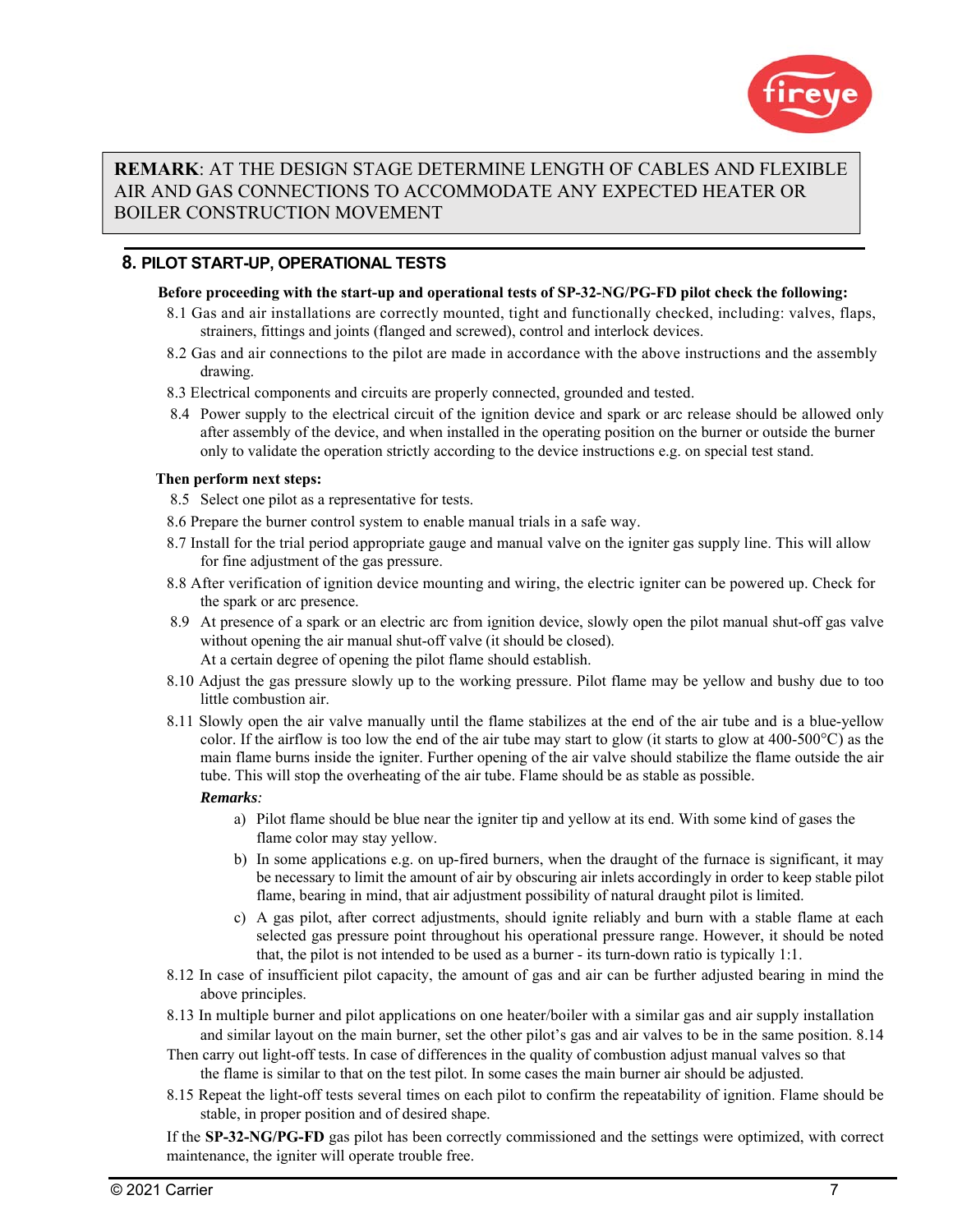

## **REMARK**: AT THE DESIGN STAGE DETERMINE LENGTH OF CABLES AND FLEXIBLE AIR AND GAS CONNECTIONS TO ACCOMMODATE ANY EXPECTED HEATER OR BOILER CONSTRUCTION MOVEMENT

## **8. PILOT START-UP, OPERATIONAL TESTS**

#### **Before proceeding with the start-up and operational tests of SP-32-NG/PG-FD pilot check the following:**

- 8.1 Gas and air installations are correctly mounted, tight and functionally checked, including: valves, flaps, strainers, fittings and joints (flanged and screwed), control and interlock devices.
- 8.2 Gas and air connections to the pilot are made in accordance with the above instructions and the assembly drawing.
- 8.3 Electrical components and circuits are properly connected, grounded and tested.
- 8.4 Power supply to the electrical circuit of the ignition device and spark or arc release should be allowed only after assembly of the device, and when installed in the operating position on the burner or outside the burner only to validate the operation strictly according to the device instructions e.g. on special test stand.

## **Then perform next steps:**

- 8.5 Select one pilot as a representative for tests.
- 8.6 Prepare the burner control system to enable manual trials in a safe way.
- 8.7 Install for the trial period appropriate gauge and manual valve on the igniter gas supply line. This will allow for fine adjustment of the gas pressure.
- 8.8 After verification of ignition device mounting and wiring, the electric igniter can be powered up. Check for the spark or arc presence.
- 8.9 At presence of a spark or an electric arc from ignition device, slowly open the pilot manual shut-off gas valve without opening the air manual shut-off valve (it should be closed). At a certain degree of opening the pilot flame should establish.
- 8.10 Adjust the gas pressure slowly up to the working pressure. Pilot flame may be yellow and bushy due to too little combustion air.
- 8.11 Slowly open the air valve manually until the flame stabilizes at the end of the air tube and is a blue-yellow color. If the airflow is too low the end of the air tube may start to glow (it starts to glow at  $400-500^{\circ}$ C) as the main flame burns inside the igniter. Further opening of the air valve should stabilize the flame outside the air tube. This will stop the overheating of the air tube. Flame should be as stable as possible.

## *Remarks:*

- a) Pilot flame should be blue near the igniter tip and yellow at its end. With some kind of gases the flame color may stay yellow.
- b) In some applications e.g. on up-fired burners, when the draught of the furnace is significant, it may be necessary to limit the amount of air by obscuring air inlets accordingly in order to keep stable pilot flame, bearing in mind, that air adjustment possibility of natural draught pilot is limited.
- c) A gas pilot, after correct adjustments, should ignite reliably and burn with a stable flame at each selected gas pressure point throughout his operational pressure range. However, it should be noted that, the pilot is not intended to be used as a burner - its turn-down ratio is typically 1:1.
- 8.12 In case of insufficient pilot capacity, the amount of gas and air can be further adjusted bearing in mind the above principles.
- 8.13 In multiple burner and pilot applications on one heater/boiler with a similar gas and air supply installation and similar layout on the main burner, set the other pilot's gas and air valves to be in the same position. 8.14
- Then carry out light-off tests. In case of differences in the quality of combustion adjust manual valves so that the flame is similar to that on the test pilot. In some cases the main burner air should be adjusted.
- 8.15 Repeat the light-off tests several times on each pilot to confirm the repeatability of ignition. Flame should be stable, in proper position and of desired shape.

If the **SP-32-NG/PG-FD** gas pilot has been correctly commissioned and the settings were optimized, with correct maintenance, the igniter will operate trouble free.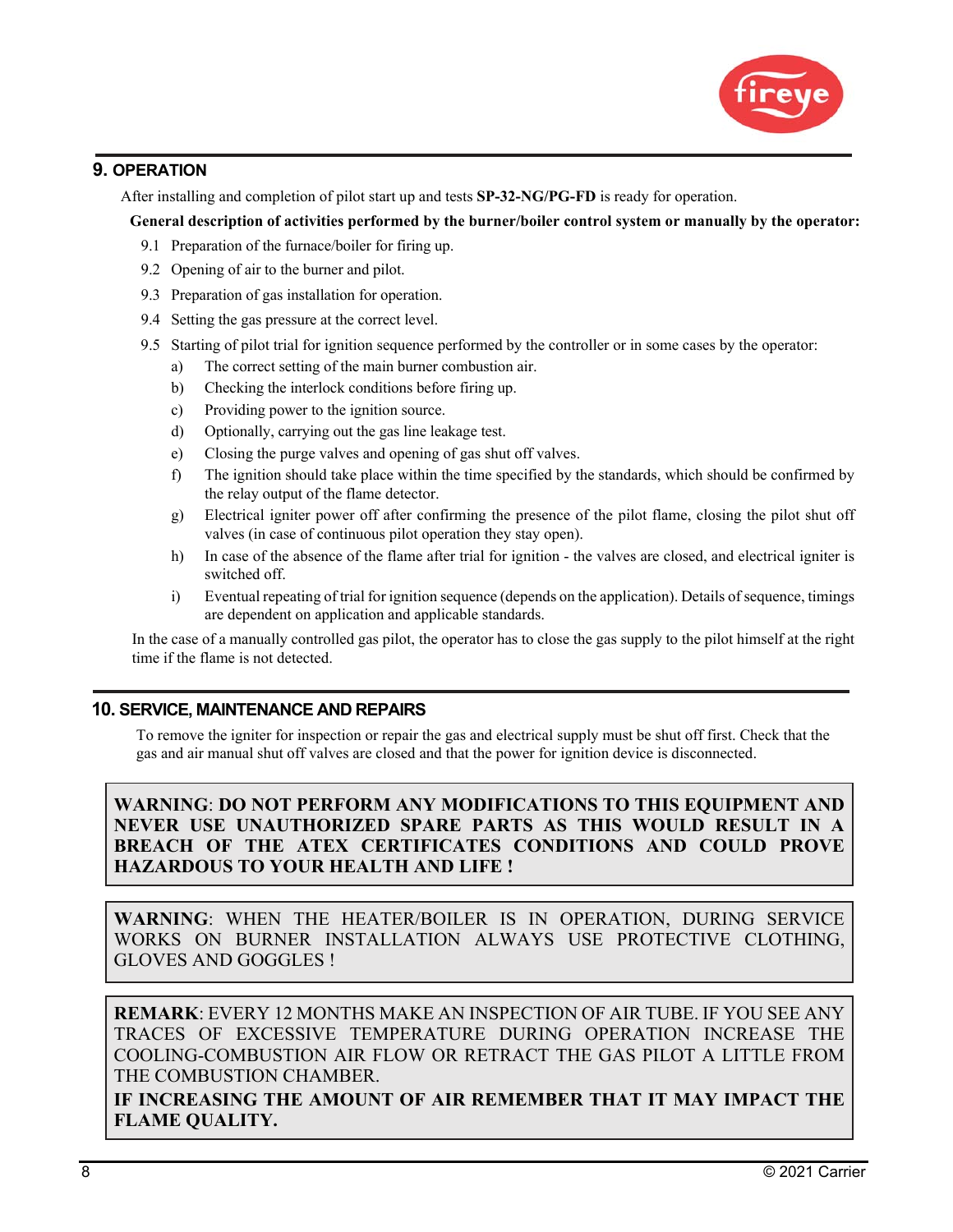

## **9. OPERATION**

After installing and completion of pilot start up and tests **SP-32-NG/PG-FD** is ready for operation.

**General description of activities performed by the burner/boiler control system or manually by the operator:** 

- 9.1 Preparation of the furnace/boiler for firing up.
- 9.2 Opening of air to the burner and pilot.
- 9.3 Preparation of gas installation for operation.
- 9.4 Setting the gas pressure at the correct level.
- 9.5 Starting of pilot trial for ignition sequence performed by the controller or in some cases by the operator:
	- a) The correct setting of the main burner combustion air.
	- b) Checking the interlock conditions before firing up.
	- c) Providing power to the ignition source.
	- d) Optionally, carrying out the gas line leakage test.
	- e) Closing the purge valves and opening of gas shut off valves.
	- f) The ignition should take place within the time specified by the standards, which should be confirmed by the relay output of the flame detector.
	- g) Electrical igniter power off after confirming the presence of the pilot flame, closing the pilot shut off valves (in case of continuous pilot operation they stay open).
	- h) In case of the absence of the flame after trial for ignition the valves are closed, and electrical igniter is switched off.
	- i) Eventual repeating of trial for ignition sequence (depends on the application). Details of sequence, timings are dependent on application and applicable standards.

In the case of a manually controlled gas pilot, the operator has to close the gas supply to the pilot himself at the right time if the flame is not detected.

## **10. SERVICE, MAINTENANCE AND REPAIRS**

To remove the igniter for inspection or repair the gas and electrical supply must be shut off first. Check that the gas and air manual shut off valves are closed and that the power for ignition device is disconnected.

**WARNING**: **DO NOT PERFORM ANY MODIFICATIONS TO THIS EQUIPMENT AND NEVER USE UNAUTHORIZED SPARE PARTS AS THIS WOULD RESULT IN A BREACH OF THE ATEX CERTIFICATES CONDITIONS AND COULD PROVE HAZARDOUS TO YOUR HEALTH AND LIFE !** 

**WARNING**: WHEN THE HEATER/BOILER IS IN OPERATION, DURING SERVICE WORKS ON BURNER INSTALLATION ALWAYS USE PROTECTIVE CLOTHING, GLOVES AND GOGGLES !

**REMARK**: EVERY 12 MONTHS MAKE AN INSPECTION OF AIR TUBE. IF YOU SEE ANY TRACES OF EXCESSIVE TEMPERATURE DURING OPERATION INCREASE THE COOLING-COMBUSTION AIR FLOW OR RETRACT THE GAS PILOT A LITTLE FROM THE COMBUSTION CHAMBER.

**IF INCREASING THE AMOUNT OF AIR REMEMBER THAT IT MAY IMPACT THE FLAME QUALITY.**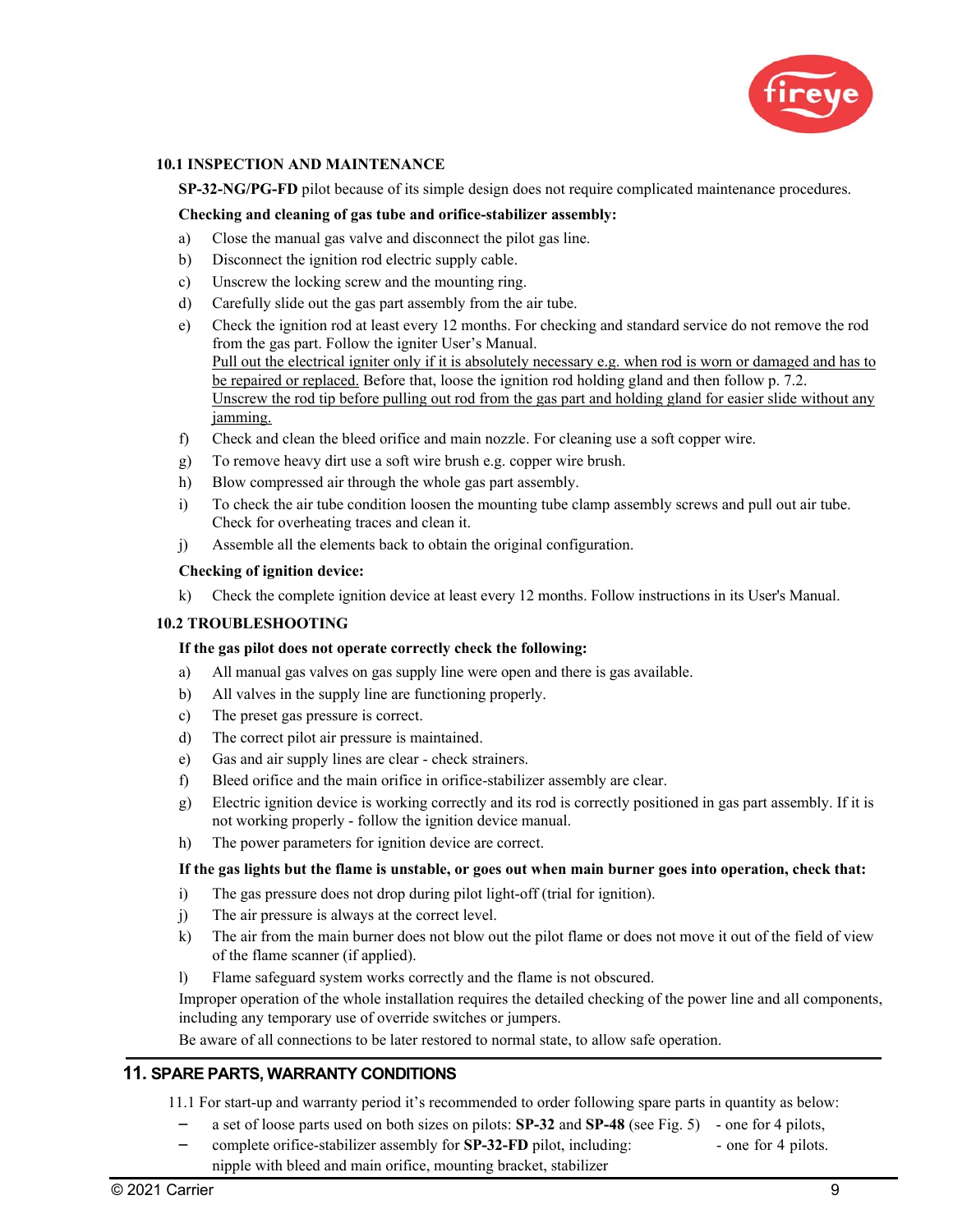

#### **10.1 INSPECTION AND MAINTENANCE**

**SP-32-NG/PG-FD** pilot because of its simple design does not require complicated maintenance procedures.

#### **Checking and cleaning of gas tube and orifice-stabilizer assembly:**

- a) Close the manual gas valve and disconnect the pilot gas line.
- b) Disconnect the ignition rod electric supply cable.
- c) Unscrew the locking screw and the mounting ring.
- d) Carefully slide out the gas part assembly from the air tube.
- e) Check the ignition rod at least every 12 months. For checking and standard service do not remove the rod from the gas part. Follow the igniter User's Manual. Pull out the electrical igniter only if it is absolutely necessary e.g. when rod is worn or damaged and has to be repaired or replaced. Before that, loose the ignition rod holding gland and then follow p. 7.2. Unscrew the rod tip before pulling out rod from the gas part and holding gland for easier slide without any jamming.
- f) Check and clean the bleed orifice and main nozzle. For cleaning use a soft copper wire.
- g) To remove heavy dirt use a soft wire brush e.g. copper wire brush.
- h) Blow compressed air through the whole gas part assembly.
- i) To check the air tube condition loosen the mounting tube clamp assembly screws and pull out air tube. Check for overheating traces and clean it.
- j) Assemble all the elements back to obtain the original configuration.

#### **Checking of ignition device:**

k) Check the complete ignition device at least every 12 months. Follow instructions in its User's Manual.

#### **10.2 TROUBLESHOOTING**

#### **If the gas pilot does not operate correctly check the following:**

- a) All manual gas valves on gas supply line were open and there is gas available.
- b) All valves in the supply line are functioning properly.
- c) The preset gas pressure is correct.
- d) The correct pilot air pressure is maintained.
- e) Gas and air supply lines are clear check strainers.
- f) Bleed orifice and the main orifice in orifice-stabilizer assembly are clear.
- g) Electric ignition device is working correctly and its rod is correctly positioned in gas part assembly. If it is not working properly - follow the ignition device manual.
- h) The power parameters for ignition device are correct.

#### **If the gas lights but the flame is unstable, or goes out when main burner goes into operation, check that:**

- i) The gas pressure does not drop during pilot light-off (trial for ignition).
- j) The air pressure is always at the correct level.
- k) The air from the main burner does not blow out the pilot flame or does not move it out of the field of view of the flame scanner (if applied).
- l) Flame safeguard system works correctly and the flame is not obscured.

Improper operation of the whole installation requires the detailed checking of the power line and all components, including any temporary use of override switches or jumpers.

Be aware of all connections to be later restored to normal state, to allow safe operation.

#### **11. SPARE PARTS, WARRANTY CONDITIONS**

11.1 For start-up and warranty period it's recommended to order following spare parts in quantity as below:

- a set of loose parts used on both sizes on pilots: **SP-32** and **SP-48** (see Fig. 5) one for 4 pilots,
- complete orifice-stabilizer assembly for **SP-32-FD** pilot, including: one for 4 pilots. nipple with bleed and main orifice, mounting bracket, stabilizer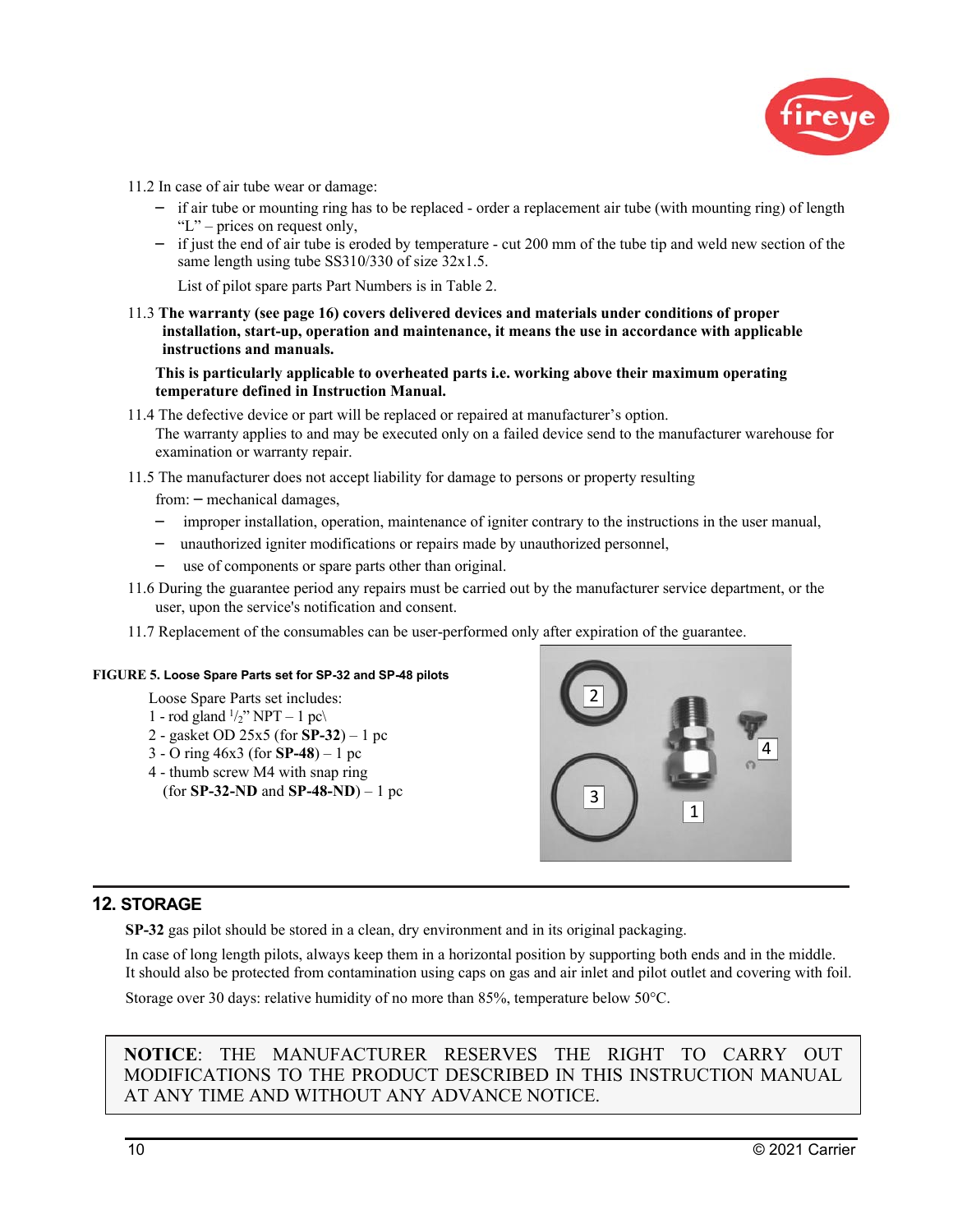

- 11.2 In case of air tube wear or damage:
	- if air tube or mounting ring has to be replaced order a replacement air tube (with mounting ring) of length "L" – prices on request only,
	- if just the end of air tube is eroded by temperature cut 200 mm of the tube tip and weld new section of the same length using tube SS310/330 of size 32x1.5.

List of pilot spare parts Part Numbers is in Table 2.

11.3 **The warranty (see page 16) covers delivered devices and materials under conditions of proper installation, start-up, operation and maintenance, it means the use in accordance with applicable instructions and manuals.** 

**This is particularly applicable to overheated parts i.e. working above their maximum operating temperature defined in Instruction Manual.** 

- 11.4 The defective device or part will be replaced or repaired at manufacturer's option. The warranty applies to and may be executed only on a failed device send to the manufacturer warehouse for examination or warranty repair.
- 11.5 The manufacturer does not accept liability for damage to persons or property resulting

from: – mechanical damages,

- improper installation, operation, maintenance of igniter contrary to the instructions in the user manual,
- unauthorized igniter modifications or repairs made by unauthorized personnel,
- use of components or spare parts other than original.
- 11.6 During the guarantee period any repairs must be carried out by the manufacturer service department, or the user, upon the service's notification and consent.
- 11.7 Replacement of the consumables can be user-performed only after expiration of the guarantee.

#### **FIGURE 5. Loose Spare Parts set for SP-32 and SP-48 pilots**

- Loose Spare Parts set includes:
- 1 rod gland  $\frac{1}{2}$ " NPT 1 pc\
- 2 gasket OD 25x5 (for **SP-32**) 1 pc
- 3 O ring 46x3 (for **SP-48**) 1 pc
- 4 thumb screw M4 with snap ring
- (for **SP-32-ND** and **SP-48-ND**) 1 pc



#### **12. STORAGE**

**SP-32** gas pilot should be stored in a clean, dry environment and in its original packaging.

In case of long length pilots, always keep them in a horizontal position by supporting both ends and in the middle. It should also be protected from contamination using caps on gas and air inlet and pilot outlet and covering with foil.

Storage over 30 days: relative humidity of no more than 85%, temperature below 50°C.

**NOTICE**: THE MANUFACTURER RESERVES THE RIGHT TO CARRY OUT MODIFICATIONS TO THE PRODUCT DESCRIBED IN THIS INSTRUCTION MANUAL AT ANY TIME AND WITHOUT ANY ADVANCE NOTICE.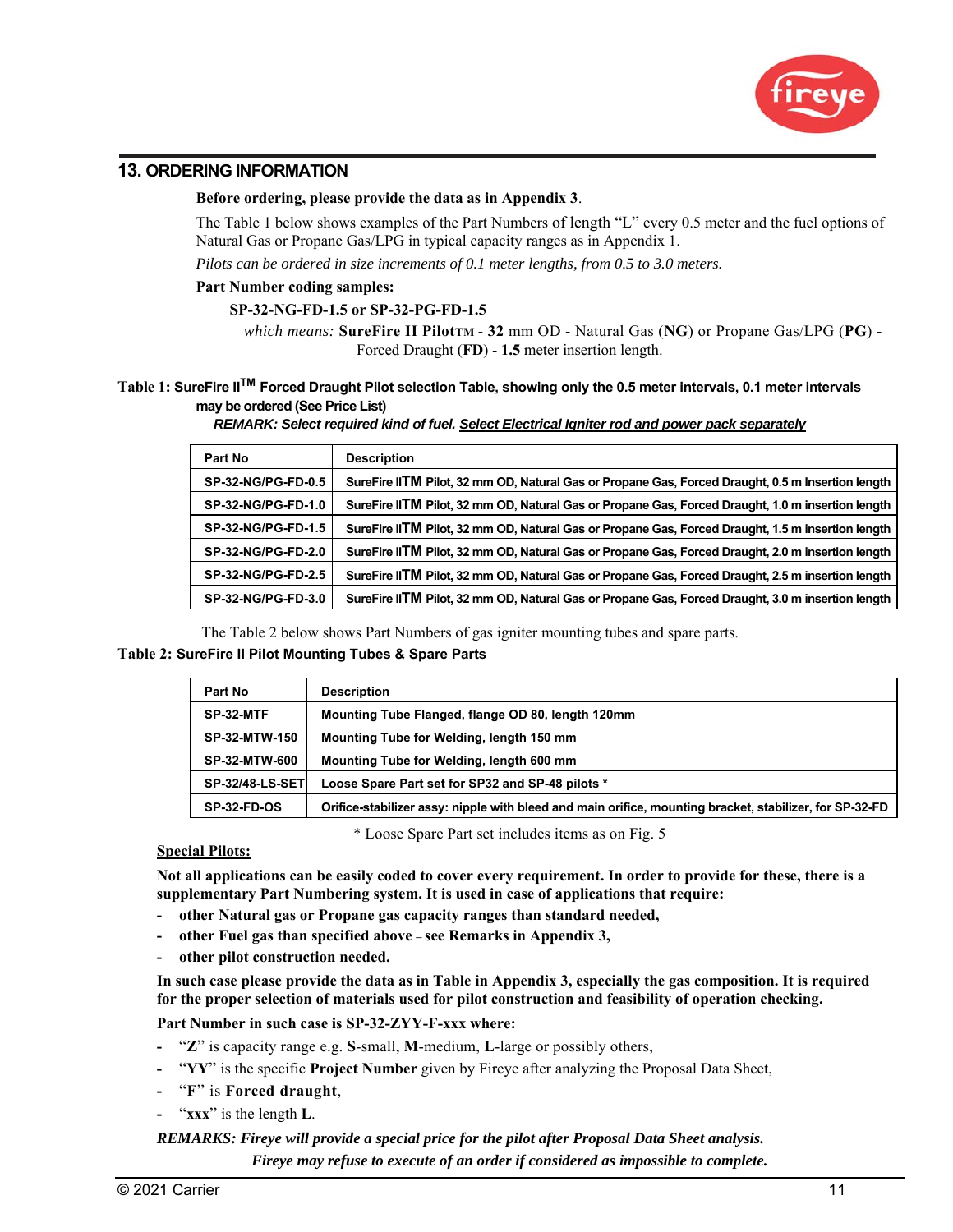

## **13. ORDERING INFORMATION**

#### **Before ordering, please provide the data as in Appendix 3**.

The Table 1 below shows examples of the Part Numbers of length "L" every 0.5 meter and the fuel options of Natural Gas or Propane Gas/LPG in typical capacity ranges as in Appendix 1.

*Pilots can be ordered in size increments of 0.1 meter lengths, from 0.5 to 3.0 meters.* 

#### **Part Number coding samples:**

#### **SP-32-NG-FD-1.5 or SP-32-PG-FD-1.5**

*which means:* **SureFire II PilotTM** - **32** mm OD - Natural Gas (**NG**) or Propane Gas/LPG (**PG**) - Forced Draught (**FD**) - **1.5** meter insertion length.

## **Table 1: SureFire IITM Forced Draught Pilot selection Table, showing only the 0.5 meter intervals, 0.1 meter intervals may be ordered (See Price List)**

*REMARK: Select required kind of fuel. Select Electrical Igniter rod and power pack separately* 

| Part No                   | <b>Description</b>                                                                                |
|---------------------------|---------------------------------------------------------------------------------------------------|
| SP-32-NG/PG-FD-0.5        | SureFire IITM Pilot, 32 mm OD, Natural Gas or Propane Gas, Forced Draught, 0.5 m Insertion length |
| SP-32-NG/PG-FD-1.0        | SureFire IITM Pilot, 32 mm OD, Natural Gas or Propane Gas, Forced Draught, 1.0 m insertion length |
| SP-32-NG/PG-FD-1.5        | SureFire IITM Pilot, 32 mm OD, Natural Gas or Propane Gas, Forced Draught, 1.5 m insertion length |
| <b>SP-32-NG/PG-FD-2.0</b> | SureFire IITM Pilot, 32 mm OD, Natural Gas or Propane Gas, Forced Draught, 2.0 m insertion length |
| SP-32-NG/PG-FD-2.5        | SureFire IITM Pilot, 32 mm OD, Natural Gas or Propane Gas, Forced Draught, 2.5 m insertion length |
| SP-32-NG/PG-FD-3.0        | SureFire IITM Pilot, 32 mm OD, Natural Gas or Propane Gas, Forced Draught, 3.0 m insertion length |

The Table 2 below shows Part Numbers of gas igniter mounting tubes and spare parts.

#### **Table 2: SureFire II Pilot Mounting Tubes & Spare Parts**

| Part No                | <b>Description</b>                                                                                      |
|------------------------|---------------------------------------------------------------------------------------------------------|
| SP-32-MTF              | Mounting Tube Flanged, flange OD 80, length 120mm                                                       |
| <b>SP-32-MTW-150</b>   | Mounting Tube for Welding, length 150 mm                                                                |
| <b>SP-32-MTW-600</b>   | Mounting Tube for Welding, length 600 mm                                                                |
| <b>SP-32/48-LS-SET</b> | Loose Spare Part set for SP32 and SP-48 pilots *                                                        |
| <b>SP-32-FD-OS</b>     | Orifice-stabilizer assy: nipple with bleed and main orifice, mounting bracket, stabilizer, for SP-32-FD |

\* Loose Spare Part set includes items as on Fig. 5

#### **Special Pilots:**

**Not all applications can be easily coded to cover every requirement. In order to provide for these, there is a supplementary Part Numbering system. It is used in case of applications that require:** 

- **other Natural gas or Propane gas capacity ranges than standard needed,**
- **other Fuel gas than specified above see Remarks in Appendix 3,**
- **other pilot construction needed.**

**In such case please provide the data as in Table in Appendix 3, especially the gas composition. It is required for the proper selection of materials used for pilot construction and feasibility of operation checking.** 

**Part Number in such case is SP-32-ZYY-F-xxx where:** 

- "**Z**" is capacity range e.g. **S**-small, **M**-medium, **L**-large or possibly others,
- "**YY**" is the specific **Project Number** given by Fireye after analyzing the Proposal Data Sheet,
- "**F**" is **Forced draught**,
- "**xxx**" is the length **L**.

*REMARKS: Fireye will provide a special price for the pilot after Proposal Data Sheet analysis. Fireye may refuse to execute of an order if considered as impossible to complete.*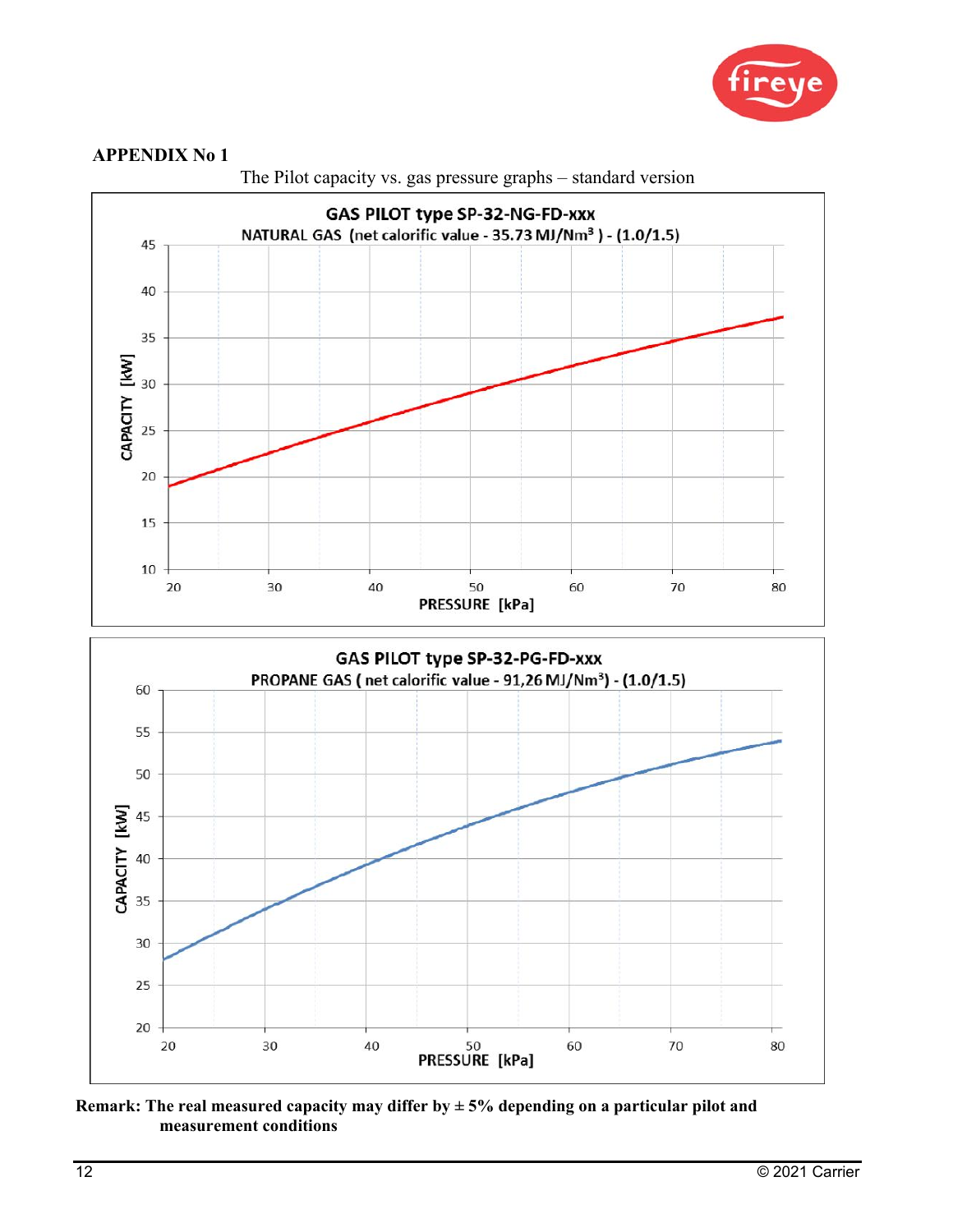



The Pilot capacity vs. gas pressure graphs – standard version

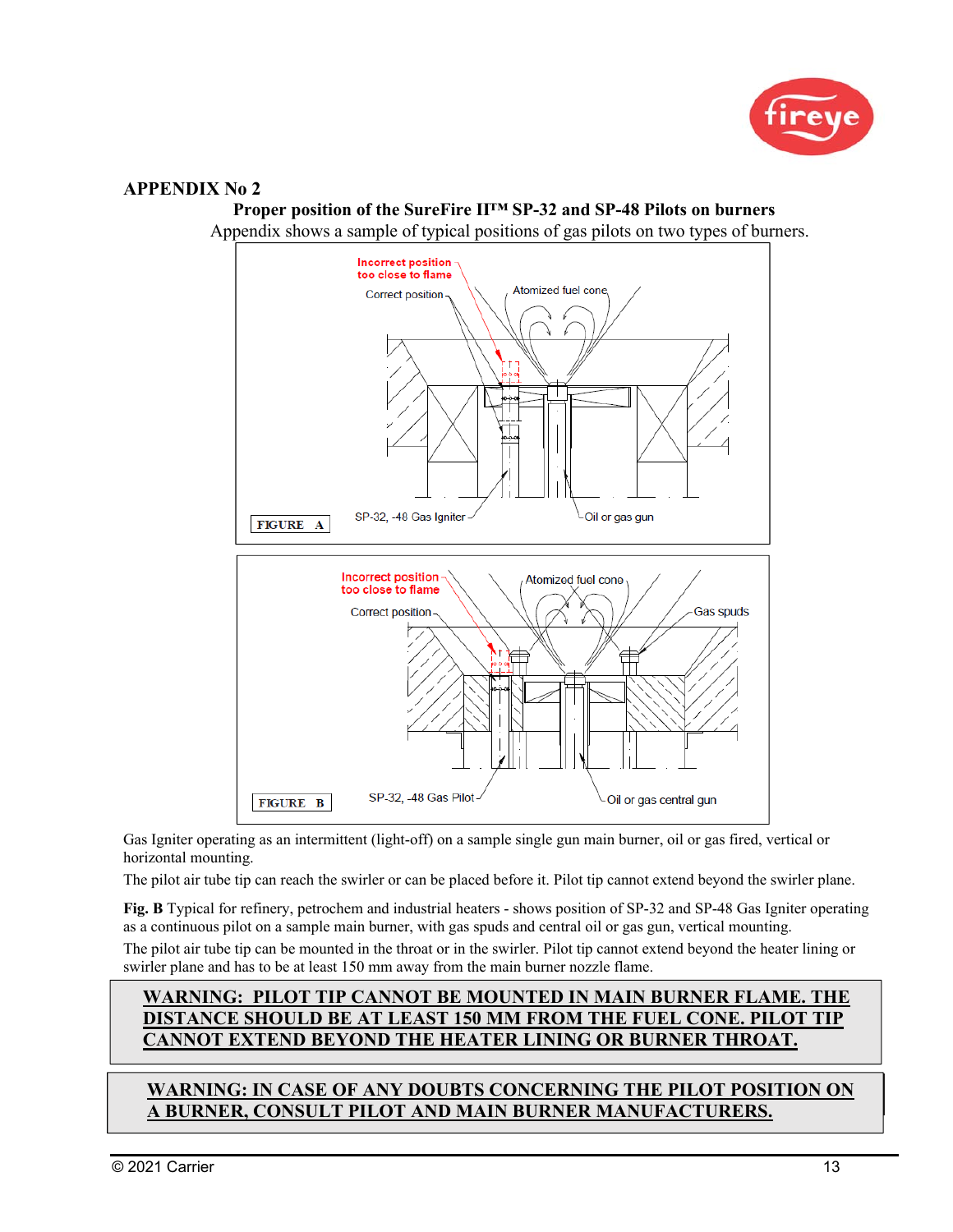

# **Incorrect position** too close to flame Atomized fuel cone Correct position SP-32, -48 Gas Igniter Oil or gas gun FIGURE A Incorrect position Atomized fuel cone too close to flame Correct position Gas spuds SP-32, -48 Gas Pilot Oil or gas central gun **FIGURE B**

**Proper position of the SureFire II™ SP-32 and SP-48 Pilots on burners**

Appendix shows a sample of typical positions of gas pilots on two types of burners.

Gas Igniter operating as an intermittent (light-off) on a sample single gun main burner, oil or gas fired, vertical or horizontal mounting.

The pilot air tube tip can reach the swirler or can be placed before it. Pilot tip cannot extend beyond the swirler plane.

**Fig. B** Typical for refinery, petrochem and industrial heaters - shows position of SP-32 and SP-48 Gas Igniter operating as a continuous pilot on a sample main burner, with gas spuds and central oil or gas gun, vertical mounting.

The pilot air tube tip can be mounted in the throat or in the swirler. Pilot tip cannot extend beyond the heater lining or swirler plane and has to be at least 150 mm away from the main burner nozzle flame.

## **WARNING: PILOT TIP CANNOT BE MOUNTED IN MAIN BURNER FLAME. THE DISTANCE SHOULD BE AT LEAST 150 MM FROM THE FUEL CONE. PILOT TIP CANNOT EXTEND BEYOND THE HEATER LINING OR BURNER THROAT.**

## **WARNING: IN CASE OF ANY DOUBTS CONCERNING THE PILOT POSITION ON** BURNER, CONSULT PILOT AND MAIN BURNER MANUFACTURERS.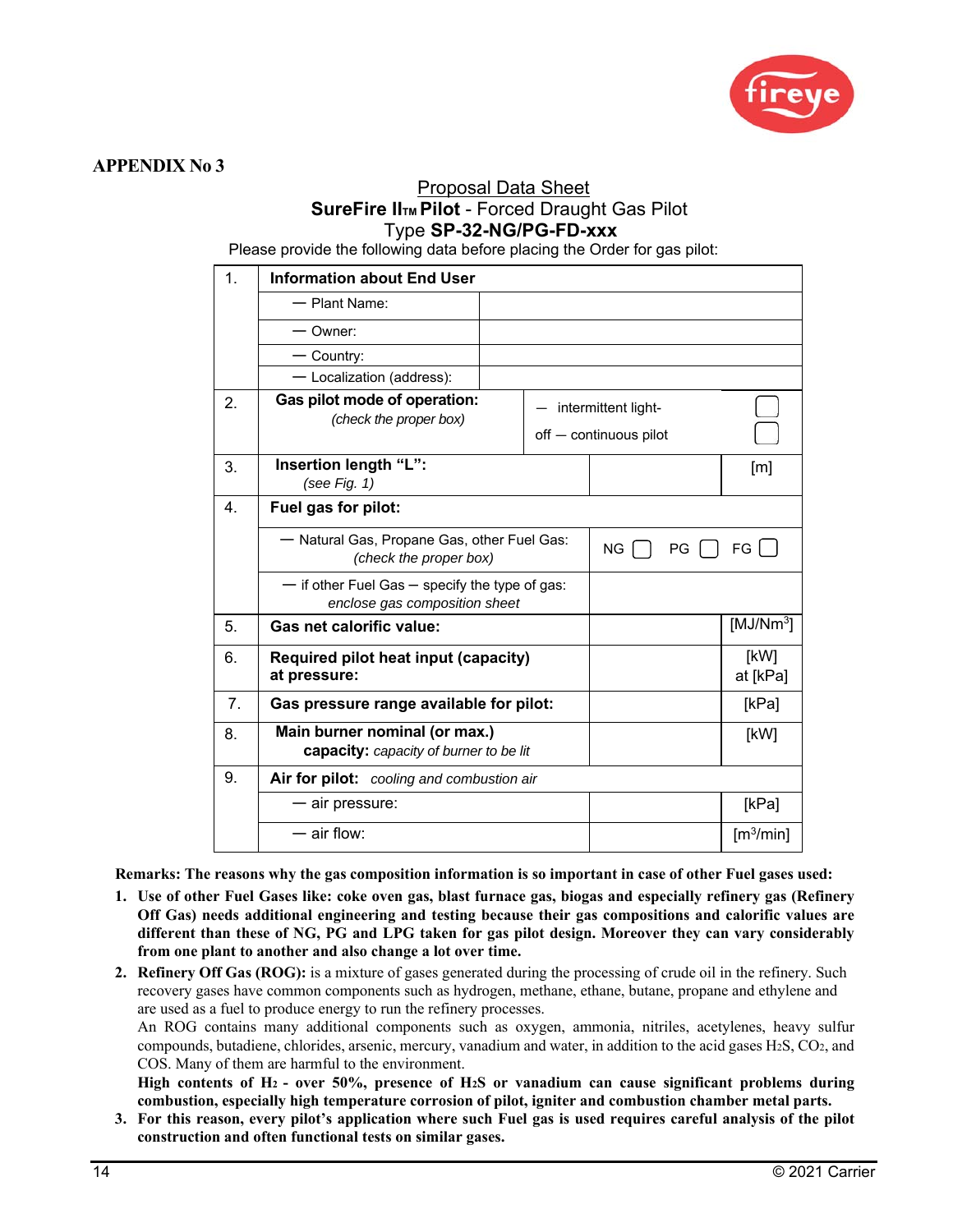

## Proposal Data Sheet **SureFire IITM Pilot - Forced Draught Gas Pilot** Type **SP-32-NG/PG-FD-xxx**

Please provide the following data before placing the Order for gas pilot:

| 1.             | <b>Information about End User</b>                                                   |                                               |     |      |      |                                |
|----------------|-------------------------------------------------------------------------------------|-----------------------------------------------|-----|------|------|--------------------------------|
|                | - Plant Name:                                                                       |                                               |     |      |      |                                |
|                | — Owner:                                                                            |                                               |     |      |      |                                |
|                | $-$ Country:                                                                        |                                               |     |      |      |                                |
|                | - Localization (address):                                                           |                                               |     |      |      |                                |
| 2.             | Gas pilot mode of operation:<br>(check the proper box)                              | intermittent light-<br>off - continuous pilot |     |      |      |                                |
| 3.             | Insertion length "L":<br>(see Fig. $1)$                                             |                                               |     |      |      | [m]                            |
| 4.             | Fuel gas for pilot:                                                                 |                                               |     |      |      |                                |
|                | - Natural Gas, Propane Gas, other Fuel Gas:<br>(check the proper box)               |                                               | NG. | $PG$ | FG I |                                |
|                | $-$ if other Fuel Gas $-$ specify the type of gas:<br>enclose gas composition sheet |                                               |     |      |      |                                |
| 5.             | Gas net calorific value:                                                            |                                               |     |      |      | [MJ/Nm <sup>3</sup> ]          |
| 6.             | Required pilot heat input (capacity)<br>at pressure:                                |                                               |     |      |      | [kW]<br>at [kPa]               |
| 7 <sub>1</sub> | Gas pressure range available for pilot:                                             |                                               |     |      |      | [kPa]                          |
| 8.             | Main burner nominal (or max.)<br>capacity: capacity of burner to be lit             |                                               |     |      | [kW] |                                |
| 9.             | Air for pilot: cooling and combustion air                                           |                                               |     |      |      |                                |
|                | - air pressure:                                                                     |                                               |     |      |      | [kPa]                          |
|                | $-$ air flow:                                                                       |                                               |     |      |      | $\left[\frac{m^3}{min}\right]$ |

**Remarks: The reasons why the gas composition information is so important in case of other Fuel gases used:** 

- **1. Use of other Fuel Gases like: coke oven gas, blast furnace gas, biogas and especially refinery gas (Refinery Off Gas) needs additional engineering and testing because their gas compositions and calorific values are different than these of NG, PG and LPG taken for gas pilot design. Moreover they can vary considerably from one plant to another and also change a lot over time.**
- **2. Refinery Off Gas (ROG):** is a mixture of gases generated during the processing of crude oil in the refinery. Such recovery gases have common components such as hydrogen, methane, ethane, butane, propane and ethylene and are used as a fuel to produce energy to run the refinery processes.

An ROG contains many additional components such as oxygen, ammonia, nitriles, acetylenes, heavy sulfur compounds, butadiene, chlorides, arsenic, mercury, vanadium and water, in addition to the acid gases H2S, CO2, and COS. Many of them are harmful to the environment.

**High contents of H2 - over 50%, presence of H2S or vanadium can cause significant problems during combustion, especially high temperature corrosion of pilot, igniter and combustion chamber metal parts.** 

**3. For this reason, every pilot's application where such Fuel gas is used requires careful analysis of the pilot construction and often functional tests on similar gases.**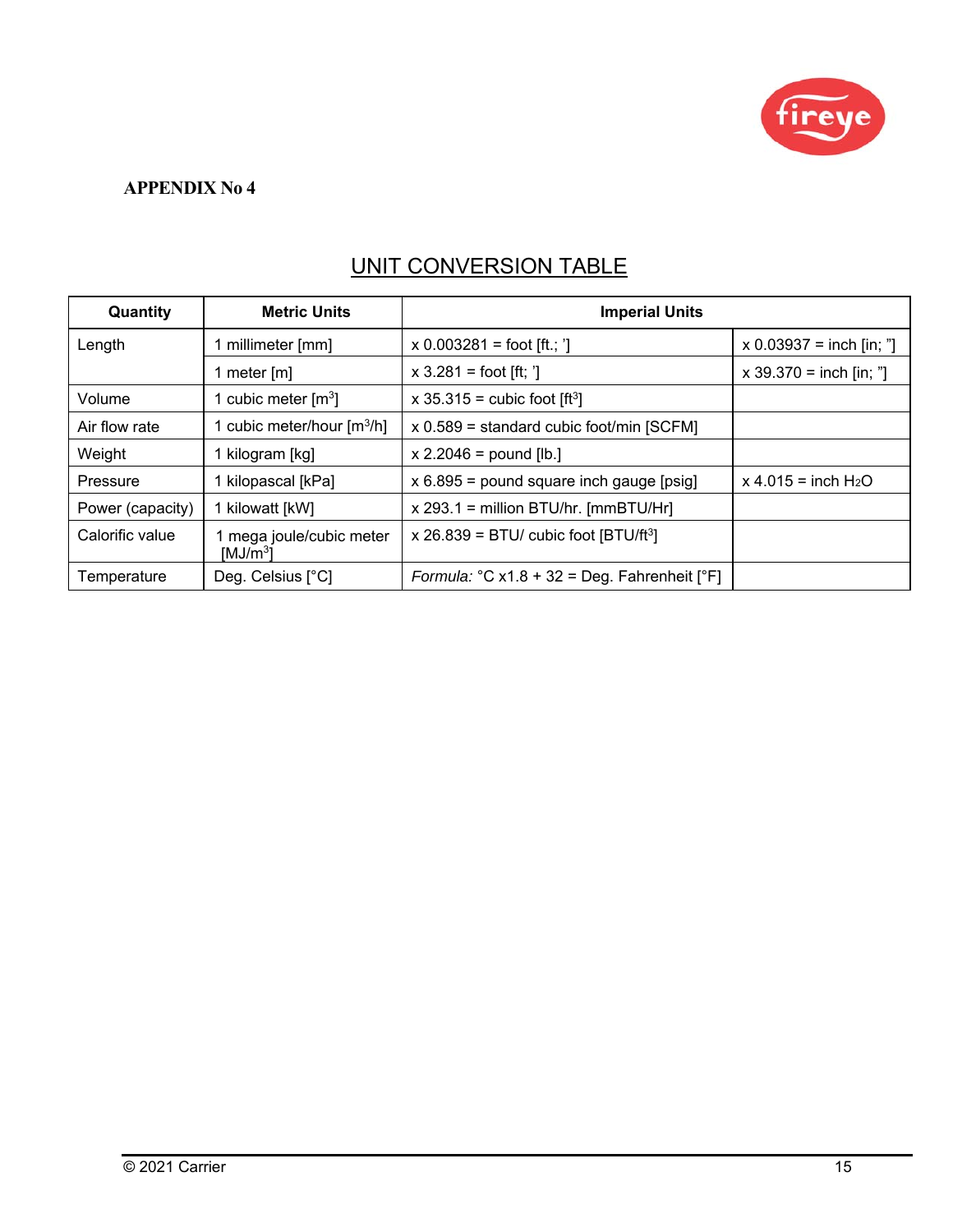

## UNIT CONVERSION TABLE

| Quantity         | <b>Metric Units</b>                            | <b>Imperial Units</b>                             |                            |  |
|------------------|------------------------------------------------|---------------------------------------------------|----------------------------|--|
| Length           | millimeter [mm]                                | $x 0.003281 =$ foot [ft.; ']                      | $x 0.03937 =$ inch [in; "] |  |
|                  | 1 meter $[m]$                                  | $x 3.281 =$ foot [ft; ']                          | $x 39.370 = inch [in;"]$   |  |
| Volume           | 1 cubic meter $\text{[m3]}$                    | x 35.315 = cubic foot $[ft^3]$                    |                            |  |
| Air flow rate    | 1 cubic meter/hour $\lceil m^3/h \rceil$       | $x 0.589$ = standard cubic foot/min [SCFM]        |                            |  |
| Weight           | 1 kilogram [kg]                                | $x 2.2046 =$ pound [lb.]                          |                            |  |
| Pressure         | 1 kilopascal [kPa]                             | $x 6.895$ = pound square inch gauge [psig]        | $x 4.015 = inch H2O$       |  |
| Power (capacity) | 1 kilowatt [kW]                                | $x$ 293.1 = million BTU/hr. [mmBTU/Hr]            |                            |  |
| Calorific value  | mega joule/cubic meter<br>[MJ/m <sup>3</sup> ] | x 26.839 = BTU/ cubic foot $[BTU/ft^3]$           |                            |  |
| Temperature      | Deg. Celsius [°C]                              | Formula: $°C x1.8 + 32 = Deg$ . Fahrenheit $[°F]$ |                            |  |